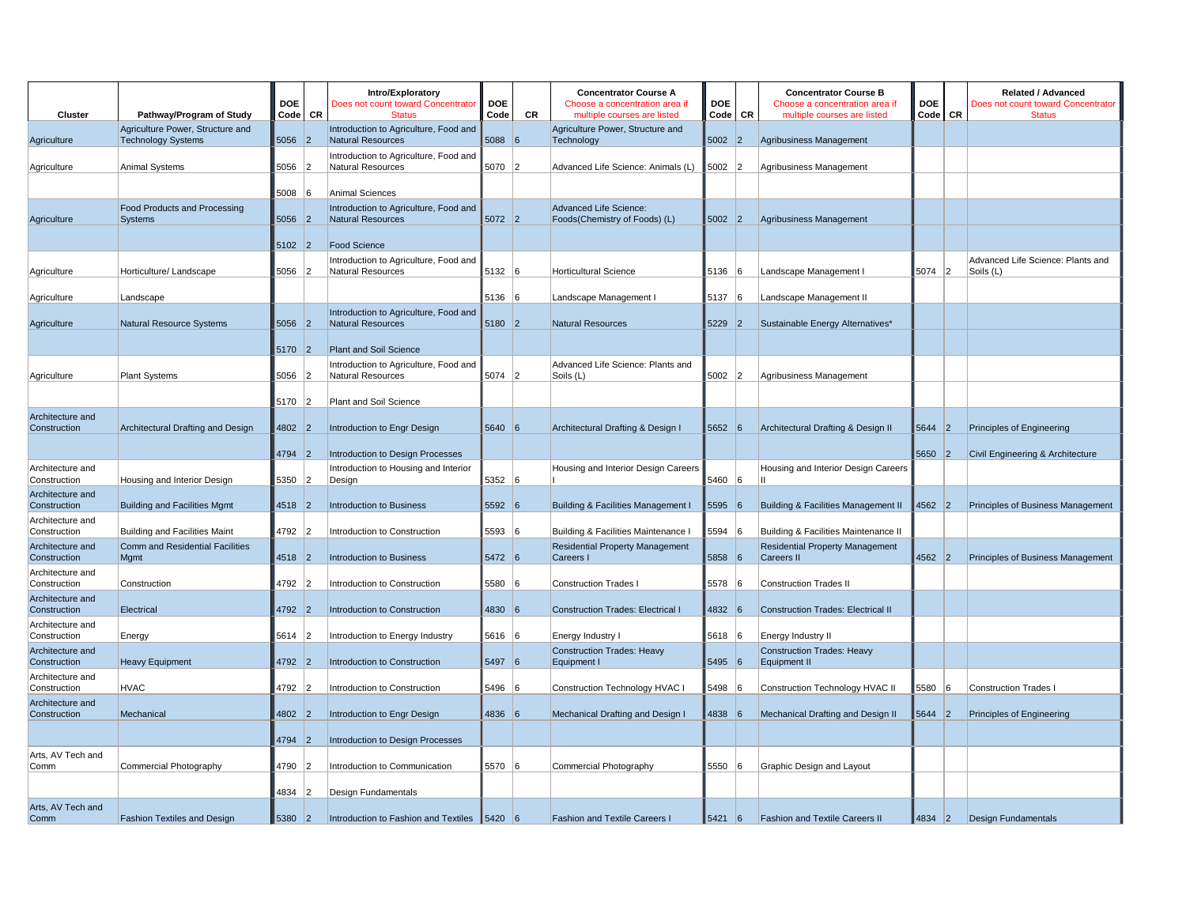| Cluster                          | Pathway/Program of Study                       | <b>DOE</b><br>Code CR |    | Intro/Exploratory<br>Does not count toward Concentrator<br><b>Status</b> | <b>DOE</b><br>Code | <b>CR</b> | <b>Concentrator Course A</b><br>Choose a concentration area if<br>multiple courses are listed | <b>DOE</b><br>Code | CR       | <b>Concentrator Course B</b><br>Choose a concentration area if<br>multiple courses are listed | <b>DOE</b><br>Code   CR |    | <b>Related / Advanced</b><br>Does not count toward Concentrator<br><b>Status</b> |
|----------------------------------|------------------------------------------------|-----------------------|----|--------------------------------------------------------------------------|--------------------|-----------|-----------------------------------------------------------------------------------------------|--------------------|----------|-----------------------------------------------------------------------------------------------|-------------------------|----|----------------------------------------------------------------------------------|
|                                  | Agriculture Power, Structure and               |                       |    | Introduction to Agriculture, Food and                                    |                    |           | Agriculture Power, Structure and                                                              |                    |          |                                                                                               |                         |    |                                                                                  |
| Agriculture                      | <b>Technology Systems</b>                      | 5056 2                |    | <b>Natural Resources</b>                                                 | $5088$ 6           |           | Technology                                                                                    | $5002$ 2           |          | Agribusiness Management                                                                       |                         |    |                                                                                  |
| Agriculture                      | Animal Systems                                 | 5056                  | 12 | Introduction to Agriculture, Food and<br><b>Natural Resources</b>        | 5070 2             |           | Advanced Life Science: Animals (L)                                                            | 5002 2             |          | Agribusiness Management                                                                       |                         |    |                                                                                  |
|                                  |                                                |                       |    |                                                                          |                    |           |                                                                                               |                    |          |                                                                                               |                         |    |                                                                                  |
|                                  |                                                | 5008                  | 6  | <b>Animal Sciences</b>                                                   |                    |           | <b>Advanced Life Science:</b>                                                                 |                    |          |                                                                                               |                         |    |                                                                                  |
| Agriculture                      | Food Products and Processing<br>Systems        | 5056 2                |    | Introduction to Agriculture, Food and<br><b>Natural Resources</b>        | $5072$ 2           |           | Foods(Chemistry of Foods) (L)                                                                 | $5002$ 2           |          | Agribusiness Management                                                                       |                         |    |                                                                                  |
|                                  |                                                | 5102 2                |    | <b>Food Science</b>                                                      |                    |           |                                                                                               |                    |          |                                                                                               |                         |    |                                                                                  |
|                                  |                                                |                       |    | Introduction to Agriculture, Food and                                    |                    |           |                                                                                               |                    |          |                                                                                               |                         |    | Advanced Life Science: Plants and                                                |
| Agriculture                      | Horticulture/ Landscape                        | 5056 2                |    | <b>Natural Resources</b>                                                 | 5132 6             |           | <b>Horticultural Science</b>                                                                  | 5136               | 16       | Landscape Management I                                                                        | 5074 2                  |    | Soils (L)                                                                        |
| Agriculture                      | Landscape                                      |                       |    |                                                                          | 5136 6             |           | Landscape Management I                                                                        | 5137 6             |          | Landscape Management II                                                                       |                         |    |                                                                                  |
| Agriculture                      | Natural Resource Systems                       | $5056$ 2              |    | Introduction to Agriculture, Food and<br><b>Natural Resources</b>        | 5180 2             |           | <b>Natural Resources</b>                                                                      | $5229$ 2           |          | Sustainable Energy Alternatives*                                                              |                         |    |                                                                                  |
|                                  |                                                | 5170 2                |    | Plant and Soil Science                                                   |                    |           |                                                                                               |                    |          |                                                                                               |                         |    |                                                                                  |
|                                  |                                                |                       |    | Introduction to Agriculture, Food and                                    |                    |           | Advanced Life Science: Plants and                                                             |                    |          |                                                                                               |                         |    |                                                                                  |
| Agriculture                      | <b>Plant Systems</b>                           | 5056                  | 12 | <b>Natural Resources</b>                                                 | 5074               | 2         | Soils (L)                                                                                     | $5002$ 2           |          | Agribusiness Management                                                                       |                         |    |                                                                                  |
|                                  |                                                | 5170                  | 12 |                                                                          |                    |           |                                                                                               |                    |          |                                                                                               |                         |    |                                                                                  |
| Architecture and                 |                                                |                       |    | Plant and Soil Science                                                   |                    |           |                                                                                               |                    |          |                                                                                               |                         |    |                                                                                  |
| Construction                     | Architectural Drafting and Design              | $4802$ 2              |    | Introduction to Engr Design                                              | 5640 6             |           | Architectural Drafting & Design I                                                             | 5652   6           |          | Architectural Drafting & Design II                                                            | 5644                    | 2  | Principles of Engineering                                                        |
|                                  |                                                | 4794 2                |    | Introduction to Design Processes                                         |                    |           |                                                                                               |                    |          |                                                                                               | 5650 2                  |    | Civil Engineering & Architecture                                                 |
| Architecture and<br>Construction | Housing and Interior Design                    | 5350                  | 2  | Introduction to Housing and Interior<br>Design                           | 5352               | 16        | Housing and Interior Design Careers                                                           | 5460 6             |          | Housing and Interior Design Careers<br>Ш                                                      |                         |    |                                                                                  |
| Architecture and<br>Construction | <b>Building and Facilities Mgmt</b>            | 4518                  | 2  | Introduction to Business                                                 | 5592 6             |           | <b>Building &amp; Facilities Management I</b>                                                 | 5595               | 6        | Building & Facilities Management II                                                           | 4562 2                  |    | Principles of Business Management                                                |
| Architecture and                 |                                                |                       |    |                                                                          |                    |           |                                                                                               |                    |          |                                                                                               |                         |    |                                                                                  |
| Construction                     | <b>Building and Facilities Maint</b>           | 4792                  | 12 | Introduction to Construction                                             | 5593 6             |           | Building & Facilities Maintenance I                                                           | 5594               | 6        | Building & Facilities Maintenance II                                                          |                         |    |                                                                                  |
| Architecture and<br>Construction | <b>Comm and Residential Facilities</b><br>Mgmt | 4518 2                |    | <b>Introduction to Business</b>                                          | 5472 6             |           | <b>Residential Property Management</b><br>Careers I                                           | 5858 6             |          | <b>Residential Property Management</b><br>Careers II                                          | $4562$ 2                |    | Principles of Business Management                                                |
| Architecture and<br>Construction | Construction                                   | 4792                  | 2  | Introduction to Construction                                             | 5580 6             |           | <b>Construction Trades I</b>                                                                  | 5578               | <b>6</b> | <b>Construction Trades II</b>                                                                 |                         |    |                                                                                  |
| Architecture and                 |                                                |                       |    |                                                                          |                    |           |                                                                                               |                    |          |                                                                                               |                         |    |                                                                                  |
| Construction                     | Electrical                                     | 4792                  | 2  | Introduction to Construction                                             | 4830 6             |           | <b>Construction Trades: Electrical I</b>                                                      | 4832 6             |          | <b>Construction Trades: Electrical II</b>                                                     |                         |    |                                                                                  |
| Architecture and<br>Construction | Energy                                         | 5614 2                |    | Introduction to Energy Industry                                          | 5616 6             |           | Energy Industry I                                                                             | 5618 6             |          | Energy Industry II                                                                            |                         |    |                                                                                  |
| Architecture and<br>Construction | <b>Heavy Equipment</b>                         | 4792 2                |    | Introduction to Construction                                             | 5497 6             |           | <b>Construction Trades: Heavy</b><br>Equipment I                                              | 5495 6             |          | <b>Construction Trades: Heavy</b><br>Equipment II                                             |                         |    |                                                                                  |
| Architecture and                 |                                                |                       |    |                                                                          |                    |           |                                                                                               |                    |          |                                                                                               |                         |    |                                                                                  |
| Construction                     | <b>HVAC</b>                                    | 4792                  | 2  | Introduction to Construction                                             | 5496               | 16        | Construction Technology HVAC I                                                                | 5498               | - 16     | Construction Technology HVAC II                                                               | 5580                    | 16 | <b>Construction Trades I</b>                                                     |
| Architecture and<br>Construction | Mechanical                                     | 4802                  | 2  | Introduction to Engr Design                                              | 4836 6             |           | Mechanical Drafting and Design I                                                              | 4838 6             |          | Mechanical Drafting and Design II                                                             | 5644 2                  |    | Principles of Engineering                                                        |
|                                  |                                                | 4794                  | 12 |                                                                          |                    |           |                                                                                               |                    |          |                                                                                               |                         |    |                                                                                  |
| Arts, AV Tech and                |                                                |                       |    | Introduction to Design Processes                                         |                    |           |                                                                                               |                    |          |                                                                                               |                         |    |                                                                                  |
| Comm                             | Commercial Photography                         | 4790 2                |    | Introduction to Communication                                            | 5570 6             |           | Commercial Photography                                                                        | 5550 6             |          | Graphic Design and Layout                                                                     |                         |    |                                                                                  |
|                                  |                                                | 4834                  | 12 | Design Fundamentals                                                      |                    |           |                                                                                               |                    |          |                                                                                               |                         |    |                                                                                  |
| Arts, AV Tech and                |                                                |                       |    |                                                                          |                    |           |                                                                                               |                    |          |                                                                                               |                         |    |                                                                                  |
| Comm                             | Fashion Textiles and Design                    | 5380                  | 2  | Introduction to Fashion and Textiles 5420                                |                    |           | <b>Fashion and Textile Careers I</b>                                                          | 5421               | 6        | <b>Fashion and Textile Careers II</b>                                                         | 4834                    | 2  | <b>Design Fundamentals</b>                                                       |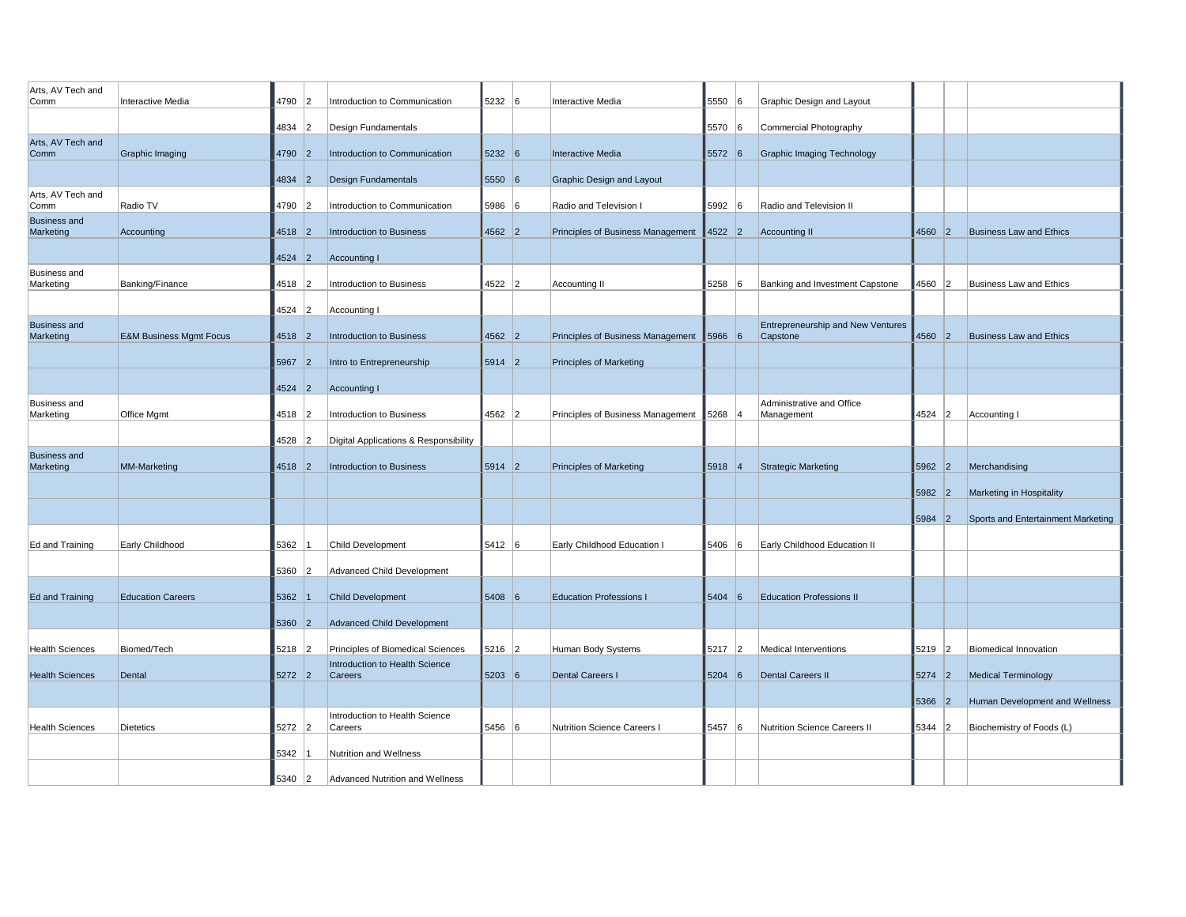| Arts, AV Tech and                |                                    |          |    |                                           |          |   |                                    |          |                |                                         |          |    |                                    |
|----------------------------------|------------------------------------|----------|----|-------------------------------------------|----------|---|------------------------------------|----------|----------------|-----------------------------------------|----------|----|------------------------------------|
| Comm                             | <b>Interactive Media</b>           | 4790     | 2  | Introduction to Communication             | 5232     | 6 | Interactive Media                  | 5550     | 6              | Graphic Design and Layout               |          |    |                                    |
|                                  |                                    | 4834 2   |    | Design Fundamentals                       |          |   |                                    | 5570 6   |                | Commercial Photography                  |          |    |                                    |
| Arts, AV Tech and<br>Comm        | Graphic Imaging                    | 4790     | 2  | Introduction to Communication             | 5232 6   |   | <b>Interactive Media</b>           | 5572 6   |                | <b>Graphic Imaging Technology</b>       |          |    |                                    |
|                                  |                                    | 4834     | 2  | <b>Design Fundamentals</b>                | 5550 6   |   | <b>Graphic Design and Layout</b>   |          |                |                                         |          |    |                                    |
| Arts, AV Tech and                |                                    |          |    |                                           |          |   |                                    |          |                |                                         |          |    |                                    |
| Comm<br><b>Business and</b>      | Radio TV                           | 4790     | 2  | Introduction to Communication             | 5986     | 6 | Radio and Television I             | 5992     | $\sqrt{6}$     | Radio and Television II                 |          |    |                                    |
| Marketing                        | Accounting                         | 4518 2   |    | Introduction to Business                  | 4562 2   |   | Principles of Business Management  | $4522$ 2 |                | <b>Accounting II</b>                    | 4560 2   |    | <b>Business Law and Ethics</b>     |
|                                  |                                    | 4524     | 2  | <b>Accounting I</b>                       |          |   |                                    |          |                |                                         |          |    |                                    |
| <b>Business and</b><br>Marketing | Banking/Finance                    | 4518 2   |    | Introduction to Business                  | 4522 2   |   | Accounting II                      | 5258     | 6              | Banking and Investment Capstone         | 4560 2   |    | <b>Business Law and Ethics</b>     |
|                                  |                                    | 4524     | 2  | <b>Accounting I</b>                       |          |   |                                    |          |                |                                         |          |    |                                    |
| <b>Business and</b>              |                                    |          |    |                                           |          |   |                                    |          |                | Entrepreneurship and New Ventures       |          |    |                                    |
| Marketing                        | <b>E&amp;M Business Mgmt Focus</b> | 4518 2   |    | <b>Introduction to Business</b>           | $4562$ 2 |   | Principles of Business Management  | 5966 6   |                | Capstone                                | $4560$ 2 |    | <b>Business Law and Ethics</b>     |
|                                  |                                    | 5967     | 2  | Intro to Entrepreneurship                 | $5914$ 2 |   | <b>Principles of Marketing</b>     |          |                |                                         |          |    |                                    |
|                                  |                                    | 4524     | 2  | <b>Accounting I</b>                       |          |   |                                    |          |                |                                         |          |    |                                    |
| <b>Business and</b><br>Marketing | Office Mgmt                        | 4518 2   |    | Introduction to Business                  | 4562 2   |   | Principles of Business Management  | $5268$ 4 |                | Administrative and Office<br>Management | 4524 2   |    | Accounting I                       |
|                                  |                                    |          |    |                                           |          |   |                                    |          |                |                                         |          |    |                                    |
| <b>Business and</b>              |                                    | 4528     | 12 | Digital Applications & Responsibility     |          |   |                                    |          |                |                                         |          |    |                                    |
| Marketing                        | MM-Marketing                       | 4518 2   |    | <b>Introduction to Business</b>           | 5914 2   |   | <b>Principles of Marketing</b>     | 5918 4   |                | <b>Strategic Marketing</b>              | $5962$ 2 |    | Merchandising                      |
|                                  |                                    |          |    |                                           |          |   |                                    |          |                |                                         | 5982     | 2  | Marketing in Hospitality           |
|                                  |                                    |          |    |                                           |          |   |                                    |          |                |                                         | $5984$ 2 |    | Sports and Entertainment Marketing |
| Ed and Training                  | Early Childhood                    | 5362     |    | Child Development                         | 5412 6   |   | Early Childhood Education I        | 5406     | 6              | Early Childhood Education II            |          |    |                                    |
|                                  |                                    |          |    |                                           |          |   |                                    |          |                |                                         |          |    |                                    |
|                                  |                                    | 5360 2   |    | Advanced Child Development                |          |   |                                    |          |                |                                         |          |    |                                    |
| Ed and Training                  | <b>Education Careers</b>           | 5362     |    | <b>Child Development</b>                  | 5408 6   |   | <b>Education Professions I</b>     | 5404     | 6              | <b>Education Professions II</b>         |          |    |                                    |
|                                  |                                    | 5360 2   |    | Advanced Child Development                |          |   |                                    |          |                |                                         |          |    |                                    |
| <b>Health Sciences</b>           | Biomed/Tech                        | 5218     | 2  | Principles of Biomedical Sciences         | $5216$ 2 |   | Human Body Systems                 | 5217     | $\overline{2}$ | <b>Medical Interventions</b>            | 5219     | 12 | <b>Biomedical Innovation</b>       |
|                                  |                                    |          |    | Introduction to Health Science            |          |   |                                    |          |                |                                         |          |    |                                    |
| <b>Health Sciences</b>           | Dental                             | $5272$ 2 |    | Careers                                   | $5203$ 6 |   | <b>Dental Careers I</b>            | $5204$ 6 |                | <b>Dental Careers II</b>                | $5274$ 2 |    | <b>Medical Terminology</b>         |
|                                  |                                    |          |    |                                           |          |   |                                    |          |                |                                         | 5366     | 2  | Human Development and Wellness     |
| <b>Health Sciences</b>           | <b>Dietetics</b>                   | 5272 2   |    | Introduction to Health Science<br>Careers | 5456 6   |   | <b>Nutrition Science Careers I</b> | 5457     | 16             | Nutrition Science Careers II            | 5344 2   |    | Biochemistry of Foods (L)          |
|                                  |                                    | 5342     |    | Nutrition and Wellness                    |          |   |                                    |          |                |                                         |          |    |                                    |
|                                  |                                    | 5340 2   |    | Advanced Nutrition and Wellness           |          |   |                                    |          |                |                                         |          |    |                                    |
|                                  |                                    |          |    |                                           |          |   |                                    |          |                |                                         |          |    |                                    |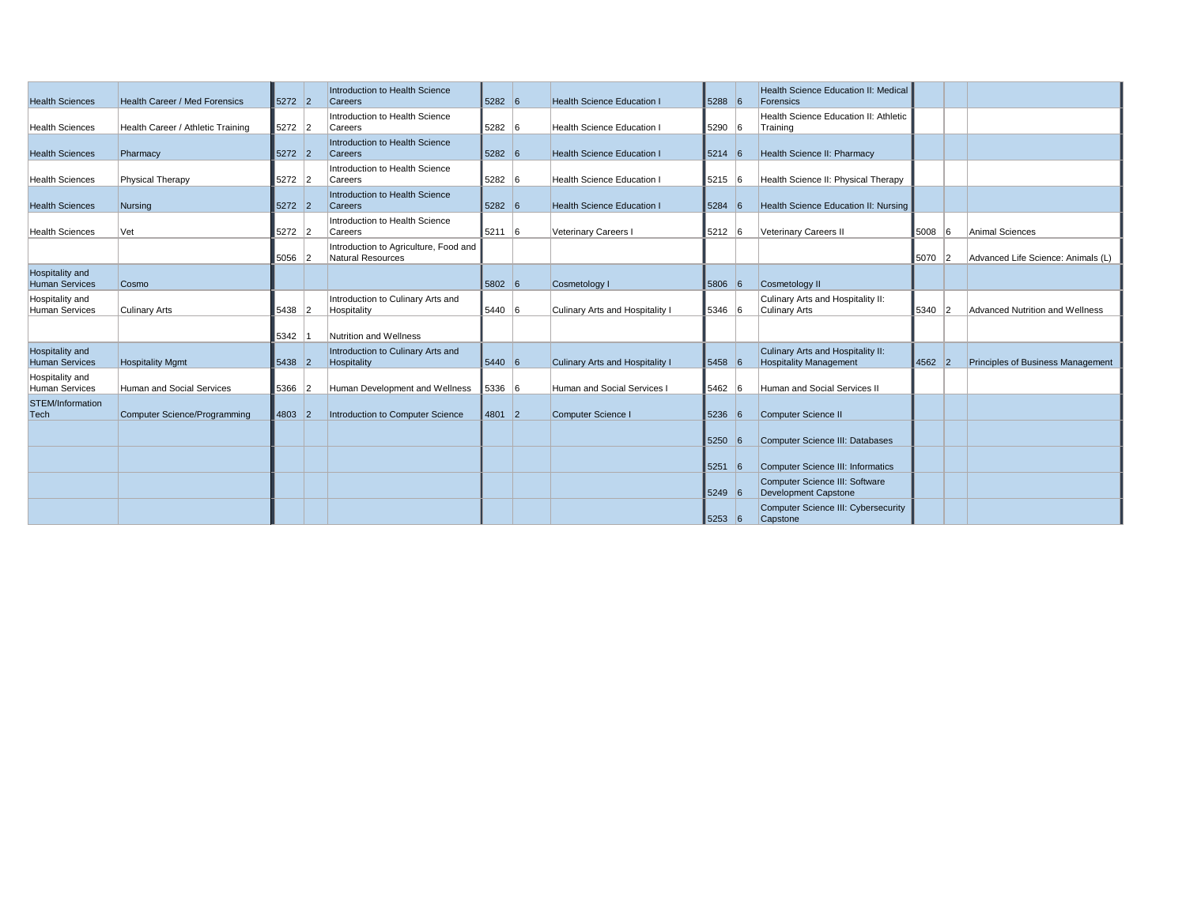| <b>Health Sciences</b>                   | <b>Health Career / Med Forensics</b> | $5272$ 2 |   | Introduction to Health Science<br><b>Careers</b>           | 5282 6 | <b>Health Science Education I</b> | $5288$ 6 |   | Health Science Education II: Medical<br>Forensics                  |        |     |                                          |
|------------------------------------------|--------------------------------------|----------|---|------------------------------------------------------------|--------|-----------------------------------|----------|---|--------------------------------------------------------------------|--------|-----|------------------------------------------|
| <b>Health Sciences</b>                   | Health Career / Athletic Training    | $5272$ 2 |   | Introduction to Health Science<br>Careers                  | 5282 6 | <b>Health Science Education</b>   | $5290$ 6 |   | Health Science Education II: Athletic<br>Training                  |        |     |                                          |
| <b>Health Sciences</b>                   | Pharmacy                             | $5272$ 2 |   | Introduction to Health Science<br><b>Careers</b>           | 5282 6 | <b>Health Science Education I</b> | $5214$ 6 |   | Health Science II: Pharmacy                                        |        |     |                                          |
| <b>Health Sciences</b>                   | Physical Therapy                     | 5272 2   |   | Introduction to Health Science<br>Careers                  | 5282 6 | Health Science Education          | $5215$ 6 |   | Health Science II: Physical Therapy                                |        |     |                                          |
| <b>Health Sciences</b>                   | Nursing                              | $5272$ 2 |   | Introduction to Health Science<br><b>Careers</b>           | 5282 6 | <b>Health Science Education I</b> | $5284$ 6 |   | Health Science Education II: Nursing                               |        |     |                                          |
| <b>Health Sciences</b>                   | Vet                                  | 5272 2   |   | Introduction to Health Science<br>Careers                  | 5211 6 | Veterinary Careers I              | 5212 6   |   | Veterinary Careers II                                              | 5008   | -16 | Animal Sciences                          |
|                                          |                                      | 5056 2   |   | Introduction to Agriculture, Food and<br>Natural Resources |        |                                   |          |   |                                                                    | 5070 2 |     | Advanced Life Science: Animals (L)       |
| Hospitality and<br><b>Human Services</b> | Cosmo                                |          |   |                                                            | 5802 6 | Cosmetology I                     | 5806     | 6 | Cosmetology II                                                     |        |     |                                          |
| Hospitality and<br><b>Human Services</b> | <b>Culinary Arts</b>                 | 5438 2   |   | Introduction to Culinary Arts and<br>Hospitality           | 5440 6 | Culinary Arts and Hospitality I   | 5346 6   |   | Culinary Arts and Hospitality II:<br>Culinary Arts                 | 5340 2 |     | Advanced Nutrition and Wellness          |
|                                          |                                      | 5342     |   | Nutrition and Wellness                                     |        |                                   |          |   |                                                                    |        |     |                                          |
| Hospitality and<br><b>Human Services</b> | <b>Hospitality Mgmt</b>              | $5438$ 2 |   | Introduction to Culinary Arts and<br>Hospitality           | 5440 6 | Culinary Arts and Hospitality I   | 5458 6   |   | Culinary Arts and Hospitality II:<br><b>Hospitality Management</b> | 4562 2 |     | <b>Principles of Business Management</b> |
| Hospitality and<br>Human Services        | Human and Social Services            | 5366     | 2 | Human Development and Wellness                             | 5336 6 | Human and Social Services I       | 5462 6   |   | Human and Social Services II                                       |        |     |                                          |
| STEM/Information<br>Tech                 | Computer Science/Programming         | 4803 2   |   | Introduction to Computer Science                           | 4801 2 | Computer Science I                | 5236     | 6 | Computer Science II                                                |        |     |                                          |
|                                          |                                      |          |   |                                                            |        |                                   | 5250     | 6 | Computer Science III: Databases                                    |        |     |                                          |
|                                          |                                      |          |   |                                                            |        |                                   | 5251     | 6 | Computer Science III: Informatics                                  |        |     |                                          |
|                                          |                                      |          |   |                                                            |        |                                   | 5249 6   |   | Computer Science III: Software<br>Development Capstone             |        |     |                                          |
|                                          |                                      |          |   |                                                            |        |                                   | 5253 6   |   | Computer Science III: Cybersecurity<br>Capstone                    |        |     |                                          |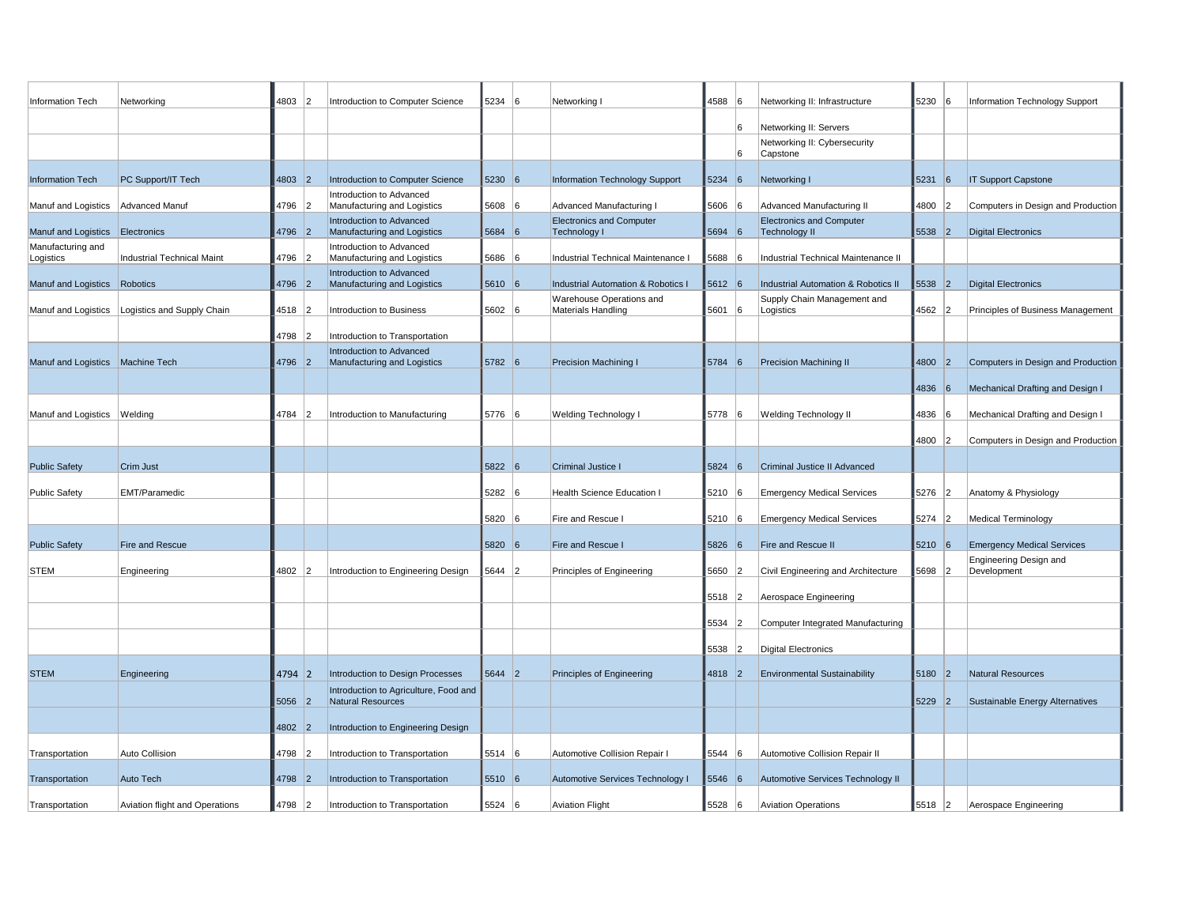| Information Tech                 | Networking                     | 4803 2   |   | Introduction to Computer Science                           | 5234 6   |   | Networking I                                    | 4588 6   |    | Networking II: Infrastructure                           | 5230 6   |    | Information Technology Support        |
|----------------------------------|--------------------------------|----------|---|------------------------------------------------------------|----------|---|-------------------------------------------------|----------|----|---------------------------------------------------------|----------|----|---------------------------------------|
|                                  |                                |          |   |                                                            |          |   |                                                 |          | 6  |                                                         |          |    |                                       |
|                                  |                                |          |   |                                                            |          |   |                                                 |          |    | Networking II: Servers<br>Networking II: Cybersecurity  |          |    |                                       |
|                                  |                                |          |   |                                                            |          |   |                                                 |          | 6  | Capstone                                                |          |    |                                       |
| Information Tech                 | PC Support/IT Tech             | $4803$ 2 |   | Introduction to Computer Science                           | 5230 6   |   | Information Technology Support                  | 5234   6 |    | Networking I                                            | $5231$ 6 |    | <b>IT Support Capstone</b>            |
| Manuf and Logistics              | Advanced Manuf                 | 4796     | 2 | Introduction to Advanced<br>Manufacturing and Logistics    | 5608 6   |   | Advanced Manufacturing I                        | 5606 6   |    | Advanced Manufacturing II                               | 4800     | 12 | Computers in Design and Production    |
| Manuf and Logistics              | Electronics                    | 4796 2   |   | Introduction to Advanced<br>Manufacturing and Logistics    | 5684     | 6 | <b>Electronics and Computer</b><br>Technology I | $5694$ 6 |    | <b>Electronics and Computer</b><br><b>Technology II</b> | 5538     | 2  | <b>Digital Electronics</b>            |
| Manufacturing and<br>Logistics   | Industrial Technical Maint     | 4796 2   |   | Introduction to Advanced<br>Manufacturing and Logistics    | 5686 6   |   | Industrial Technical Maintenance                | 5688 6   |    | Industrial Technical Maintenance II                     |          |    |                                       |
| Manuf and Logistics Robotics     |                                | 4796     | 2 | Introduction to Advanced<br>Manufacturing and Logistics    | 5610 6   |   | <b>Industrial Automation &amp; Robotics I</b>   | $5612$ 6 |    | <b>Industrial Automation &amp; Robotics II</b>          | 5538     | 2  | <b>Digital Electronics</b>            |
| Manuf and Logistics              | Logistics and Supply Chain     | 4518     |   | Introduction to Business                                   | 5602 6   |   | Warehouse Operations and<br>Materials Handling  | 5601 6   |    | Supply Chain Management and<br>Logistics                | 4562 2   |    | Principles of Business Management     |
|                                  |                                | 4798     | 2 | Introduction to Transportation                             |          |   |                                                 |          |    |                                                         |          |    |                                       |
|                                  |                                |          |   | Introduction to Advanced                                   |          |   |                                                 |          |    |                                                         |          |    |                                       |
| Manuf and Logistics Machine Tech |                                | 4796     | 2 | Manufacturing and Logistics                                | 5782 6   |   | Precision Machining I                           | 5784     | 6  | Precision Machining II                                  | 4800     | 2  | Computers in Design and Production    |
|                                  |                                |          |   |                                                            |          |   |                                                 |          |    |                                                         | 4836     | 6  | Mechanical Drafting and Design I      |
| Manuf and Logistics              | Welding                        | 4784     | 2 | Introduction to Manufacturing                              | 5776 6   |   | <b>Welding Technology I</b>                     | 5778 6   |    | <b>Welding Technology II</b>                            | 4836     | -6 | Mechanical Drafting and Design I      |
|                                  |                                |          |   |                                                            |          |   |                                                 |          |    |                                                         | 4800 2   |    | Computers in Design and Production    |
| <b>Public Safety</b>             | <b>Crim Just</b>               |          |   |                                                            | 5822 6   |   | Criminal Justice I                              | 5824 6   |    | <b>Criminal Justice II Advanced</b>                     |          |    |                                       |
| Public Safety                    | EMT/Paramedic                  |          |   |                                                            | 5282 6   |   | <b>Health Science Education I</b>               | 5210     | 6  | <b>Emergency Medical Services</b>                       | 5276 2   |    | Anatomy & Physiology                  |
|                                  |                                |          |   |                                                            | 5820 6   |   | Fire and Rescue I                               | $5210$ 6 |    | <b>Emergency Medical Services</b>                       | 5274 2   |    | <b>Medical Terminology</b>            |
| <b>Public Safety</b>             | <b>Fire and Rescue</b>         |          |   |                                                            | 5820 6   |   | Fire and Rescue I                               | 5826 6   |    | Fire and Rescue II                                      | 5210 6   |    | <b>Emergency Medical Services</b>     |
| <b>STEM</b>                      | Engineering                    | 4802     | 2 | Introduction to Engineering Design                         | 5644 2   |   | Principles of Engineering                       | 5650     | 12 | Civil Engineering and Architecture                      | 5698 2   |    | Engineering Design and<br>Development |
|                                  |                                |          |   |                                                            |          |   |                                                 | 5518 2   |    | Aerospace Engineering                                   |          |    |                                       |
|                                  |                                |          |   |                                                            |          |   |                                                 | 5534 2   |    | Computer Integrated Manufacturing                       |          |    |                                       |
|                                  |                                |          |   |                                                            |          |   |                                                 | 5538     | 12 | <b>Digital Electronics</b>                              |          |    |                                       |
| <b>STEM</b>                      | Engineering                    | $4794$ 2 |   | Introduction to Design Processes                           | $5644$ 2 |   | Principles of Engineering                       | 4818 2   |    | <b>Environmental Sustainability</b>                     | 5180     | 2  | <b>Natural Resources</b>              |
|                                  |                                | 5056 2   |   | Introduction to Agriculture, Food and<br>Natural Resources |          |   |                                                 |          |    |                                                         | 5229 2   |    | Sustainable Energy Alternatives       |
|                                  |                                | 4802     | 2 | Introduction to Engineering Design                         |          |   |                                                 |          |    |                                                         |          |    |                                       |
| Transportation                   | <b>Auto Collision</b>          | 4798     | 2 | Introduction to Transportation                             | $5514$ 6 |   | <b>Automotive Collision Repair I</b>            | 5544     | 6  | Automotive Collision Repair II                          |          |    |                                       |
| Transportation                   | Auto Tech                      | 4798     | 2 | Introduction to Transportation                             | 5510 6   |   | Automotive Services Technology I                | 5546 6   |    | Automotive Services Technology II                       |          |    |                                       |
|                                  |                                |          |   |                                                            |          |   |                                                 |          |    |                                                         |          |    |                                       |
| Transportation                   | Aviation flight and Operations | 4798     | 2 | Introduction to Transportation                             | 5524 6   |   | <b>Aviation Flight</b>                          | 5528 6   |    | Aviation Operations                                     | 5518 2   |    | Aerospace Engineering                 |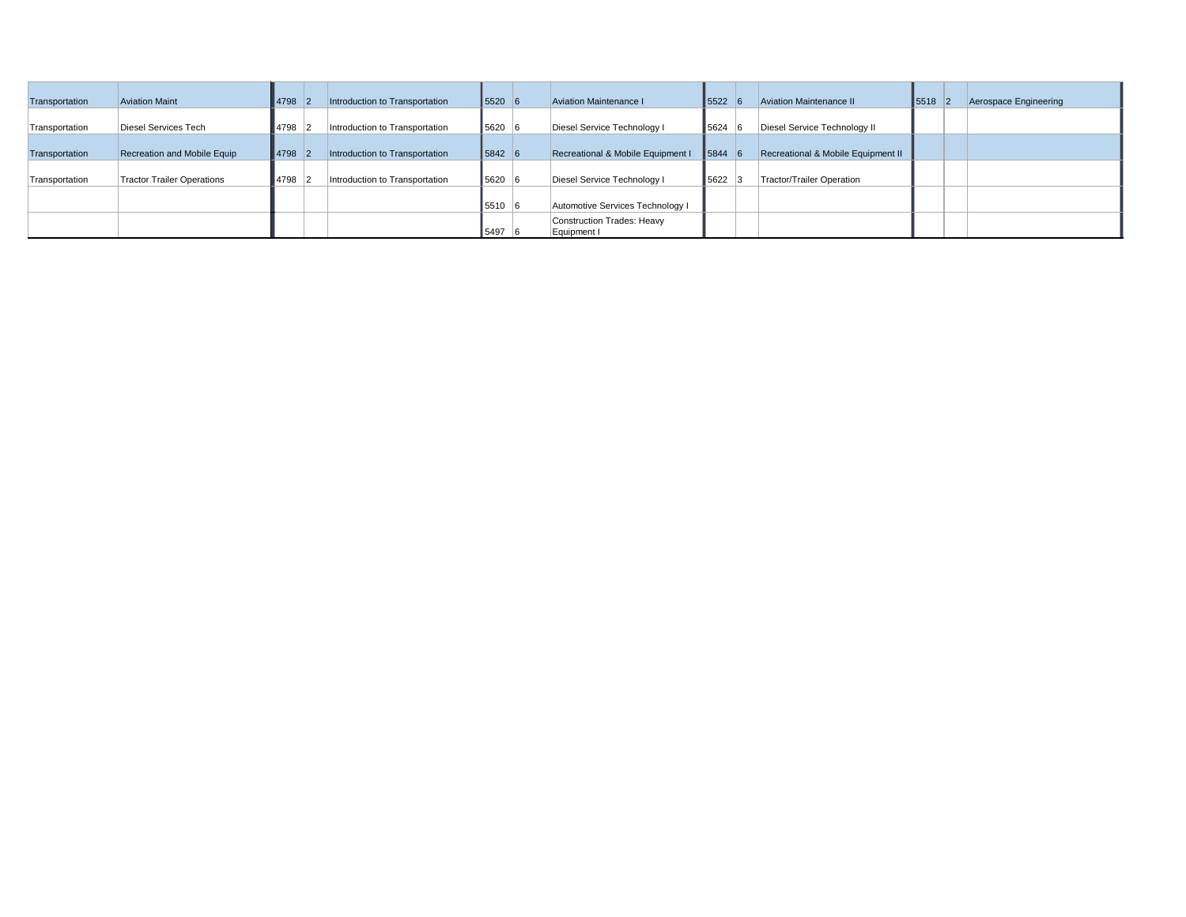| Transportation | <b>Aviation Maint</b>       | 4798   | Introduction to Transportation | $5520 \, 6$ | Aviation Maintenance I                    | $5522$ 6   | <b>Aviation Maintenance II</b>     | $5518$ 2 | Aerospace Engineering |
|----------------|-----------------------------|--------|--------------------------------|-------------|-------------------------------------------|------------|------------------------------------|----------|-----------------------|
| Transportation | Diesel Services Tech        | 4798 2 | Introduction to Transportation | 5620 6      | Diesel Service Technology I               | $ 5624 $ 6 | Diesel Service Technology II       |          |                       |
| Transportation | Recreation and Mobile Equip | 4798 2 | Introduction to Transportation | $5842 \ 6$  | Recreational & Mobile Equipment I         | $ 5844 $ 6 | Recreational & Mobile Equipment II |          |                       |
| Transportation | Tractor Trailer Operations  | 4798   | Introduction to Transportation | 5620 6      | Diesel Service Technology I               | 5622 3     | Tractor/Trailer Operation          |          |                       |
|                |                             |        |                                | 5510 6      | Automotive Services Technology I          |            |                                    |          |                       |
|                |                             |        |                                | 5497        | Construction Trades: Heavy<br>Equipment I |            |                                    |          |                       |